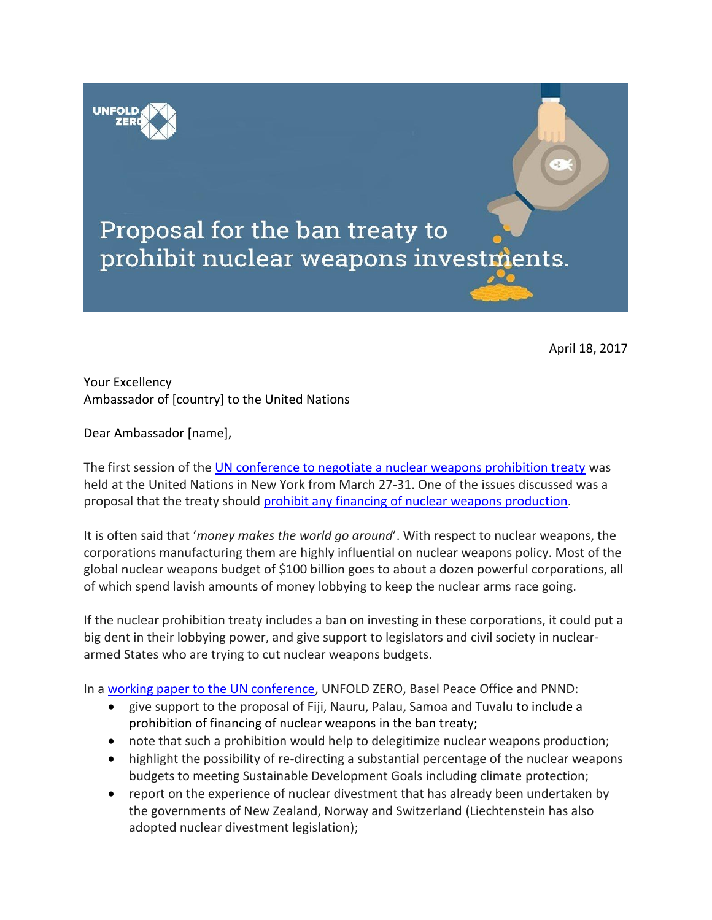



April 18, 2017

## Your Excellency Ambassador of [country] to the United Nations

Dear Ambassador [name],

The first session of th[e UN conference to negotiate a nuclear weapons prohibition treaty](https://www.un.org/disarmament/ptnw/) was held at the United Nations in New York from March 27-31. One of the issues discussed was a proposal that the treaty should [prohibit any financing of nuclear weapons production.](http://www.unfoldzero.org/unfold-zero-ban-treaty-should-prohibit-nuclear-weapons-financing/)

It is often said that '*money makes the world go around*'. With respect to nuclear weapons, the corporations manufacturing them are highly influential on nuclear weapons policy. Most of the global nuclear weapons budget of \$100 billion goes to about a dozen powerful corporations, all of which spend lavish amounts of money lobbying to keep the nuclear arms race going.

If the nuclear prohibition treaty includes a ban on investing in these corporations, it could put a big dent in their lobbying power, and give support to legislators and civil society in nucleararmed States who are trying to cut nuclear weapons budgets.

In a [working paper to the UN conference,](http://www.unfoldzero.org/wp-content/uploads/A-CONF.229-2017-NGO-WP.6-Working-paper-on-prohibiting-the-financing-of-nuclear-weapons-production.pdf) UNFOLD ZERO, Basel Peace Office and PNND:

- give support to the proposal of Fiji, Nauru, Palau, Samoa and Tuvalu to include a prohibition of financing of nuclear weapons in the ban treaty;
- note that such a prohibition would help to delegitimize nuclear weapons production;
- highlight the possibility of re-directing a substantial percentage of the nuclear weapons budgets to meeting Sustainable Development Goals including climate protection;
- report on the experience of nuclear divestment that has already been undertaken by the governments of New Zealand, Norway and Switzerland (Liechtenstein has also adopted nuclear divestment legislation);